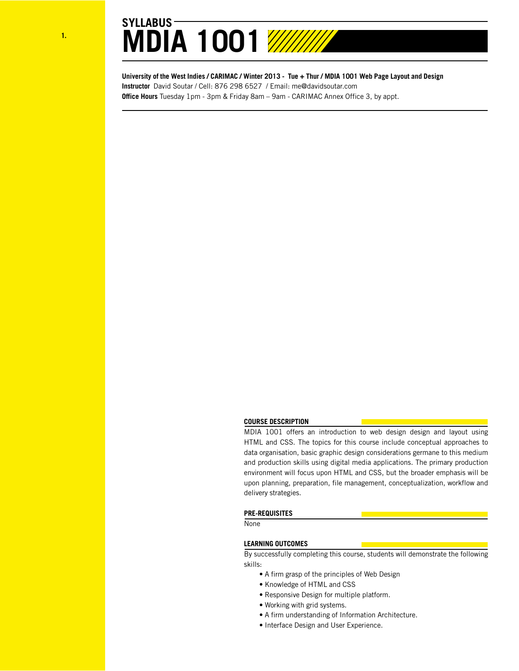

**University of the West Indies / CARIMAC / Winter 2013 - Tue + Thur / MDIA 1001 Web Page Layout and Design Instructor** David Soutar / Cell: 876 298 6527 / Email: me@davidsoutar.com **Office Hours** Tuesday 1pm - 3pm & Friday 8am – 9am - CARIMAC Annex Office 3, by appt.

## **COURSE DESCRIPTION**

MDIA 1001 offers an introduction to web design design and layout using HTML and CSS. The topics for this course include conceptual approaches to data organisation, basic graphic design considerations germane to this medium and production skills using digital media applications. The primary production environment will focus upon HTML and CSS, but the broader emphasis will be upon planning, preparation, file management, conceptualization, workflow and delivery strategies.

### **PRE-REQUISITES**

None

## **LEARNING OUTCOMES**

By successfully completing this course, students will demonstrate the following skills:

- A firm grasp of the principles of Web Design
- Knowledge of HTML and CSS
- Responsive Design for multiple platform.
- Working with grid systems.
- A firm understanding of Information Architecture.
- Interface Design and User Experience.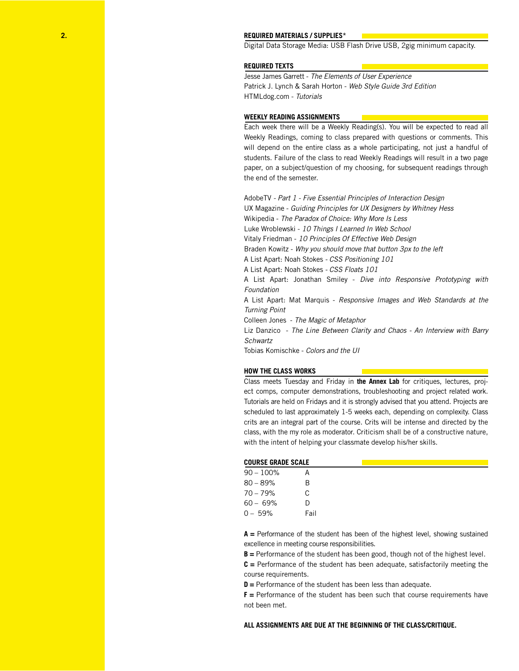### **REQUIRED MATERIALS / SUPPLIES\***

Digital Data Storage Media: USB Flash Drive USB, 2gig minimum capacity.

### **REQUIRED TEXTS**

Jesse James Garrett - *The Elements of User Experience* Patrick J. Lynch & Sarah Horton - *Web Style Guide 3rd Edition* HTMLdog.com - *Tutorials*

### **WEEKLY READING ASSIGNMENTS**

Each week there will be a Weekly Reading(s). You will be expected to read all Weekly Readings, coming to class prepared with questions or comments. This will depend on the entire class as a whole participating, not just a handful of students. Failure of the class to read Weekly Readings will result in a two page paper, on a subject/question of my choosing, for subsequent readings through the end of the semester.

AdobeTV *- Part 1 - Five Essential Principles of Interaction Design* UX Magazine - *Guiding Principles for UX Designers by Whitney Hess* Wikipedia - *The Paradox of Choice: Why More Is Less* Luke Wroblewski - *10 Things I Learned In Web School* Vitaly Friedman - *10 Principles Of Effective Web Design* Braden Kowitz - *Why you should move that button 3px to the left* A List Apart: Noah Stokes *- CSS Positioning 101* A List Apart: Noah Stokes *- CSS Floats 101* A List Apart: Jonathan Smiley - *Dive into Responsive Prototyping with Foundation* A List Apart: Mat Marquis - *Responsive Images and Web Standards at the Turning Point* Colleen Jones - *The Magic of Metaphor*

Liz Danzico - *The Line Between Clarity and Chaos - An Interview with Barry Schwartz*

Tobias Komischke - *Colors and the UI*

### **HOW THE CLASS WORKS**

Class meets Tuesday and Friday in **the Annex Lab** for critiques, lectures, project comps, computer demonstrations, troubleshooting and project related work. Tutorials are held on Fridays and it is strongly advised that you attend. Projects are scheduled to last approximately 1-5 weeks each, depending on complexity. Class crits are an integral part of the course. Crits will be intense and directed by the class, with the my role as moderator. Criticism shall be of a constructive nature, with the intent of helping your classmate develop his/her skills.

| LUUKSE GKAUE SLALE |  |  |  |  |  |  |
|--------------------|--|--|--|--|--|--|
| $90 - 100\%$       |  |  |  |  |  |  |
| $80 - 89%$         |  |  |  |  |  |  |

70 – 79% C 60 – 69% D 0 – 59% Fail

**COURSE GRADE SCALE**

**A =** Performance of the student has been of the highest level, showing sustained excellence in meeting course responsibilities.

**B =** Performance of the student has been good, though not of the highest level.

**C =** Performance of the student has been adequate, satisfactorily meeting the course requirements.

**D =** Performance of the student has been less than adequate.

**F =** Performance of the student has been such that course requirements have not been met.

### **ALL ASSIGNMENTS ARE DUE AT THE BEGINNING OF THE CLASS/CRITIQUE.**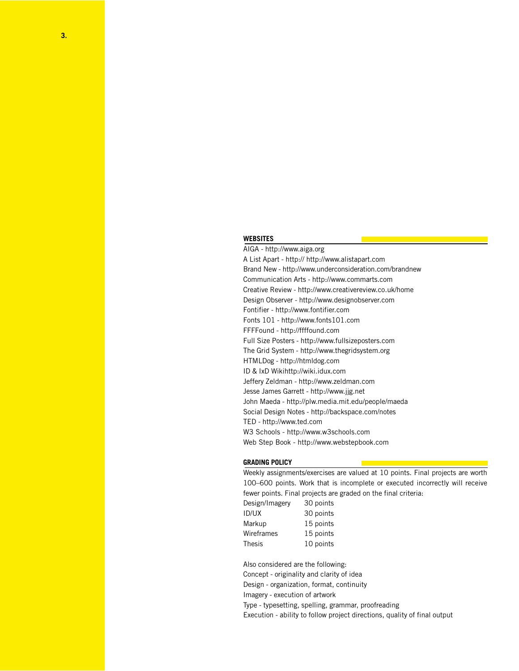## **WEBSITES**

AIGA - http://www.aiga.org A List Apart - http:// http://www.alistapart.com Brand New - http://www.underconsideration.com/brandnew Communication Arts - http://www.commarts.com Creative Review - http://www.creativereview.co.uk/home Design Observer - http://www.designobserver.com Fontifier - http://www.fontifier.com Fonts 101 - http://www.fonts101.com FFFFound - http://ffffound.com Full Size Posters - http://www.fullsizeposters.com The Grid System - http://www.thegridsystem.org HTMLDog - http://htmldog.com ID & IxD Wikihttp://wiki.idux.com Jeffery Zeldman - http://www.zeldman.com Jesse James Garrett - http://www.jjg.net John Maeda - http://plw.media.mit.edu/people/maeda Social Design Notes - http://backspace.com/notes TED - http://www.ted.com W3 Schools - http://www.w3schools.com Web Step Book - http://www.webstepbook.com

### **GRADING POLICY**

Weekly assignments/exercises are valued at 10 points. Final projects are worth 100–600 points. Work that is incomplete or executed incorrectly will receive fewer points. Final projects are graded on the final criteria:

| Design/Imagery | 30 points |
|----------------|-----------|
| ID/UX          | 30 points |
| Markup         | 15 points |
| Wireframes     | 15 points |
| Thesis         | 10 points |
|                |           |

Also considered are the following: Concept - originality and clarity of idea Design - organization, format, continuity Imagery - execution of artwork Type - typesetting, spelling, grammar, proofreading Execution - ability to follow project directions, quality of final output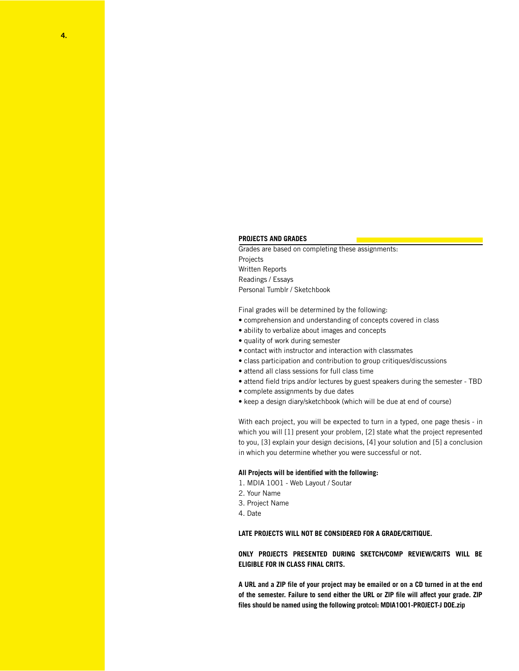### **PROJECTS AND GRADES**

Grades are based on completing these assignments: Projects Written Reports Readings / Essays Personal Tumblr / Sketchbook

Final grades will be determined by the following:

- comprehension and understanding of concepts covered in class
- ability to verbalize about images and concepts
- quality of work during semester
- contact with instructor and interaction with classmates
- class participation and contribution to group critiques/discussions
- attend all class sessions for full class time
- attend field trips and/or lectures by guest speakers during the semester TBD
- complete assignments by due dates
- keep a design diary/sketchbook (which will be due at end of course)

With each project, you will be expected to turn in a typed, one page thesis - in which you will [1] present your problem, [2] state what the project represented to you, [3] explain your design decisions, [4] your solution and [5] a conclusion in which you determine whether you were successful or not.

### **All Projects will be identified with the following:**

- 1. MDIA 1001 Web Layout / Soutar
- 2. Your Name
- 3. Project Name
- 4. Date

# **LATE PROJECTS WILL NOT BE CONSIDERED FOR A GRADE/CRITIQUE.**

**ONLY PROJECTS PRESENTED DURING SKETCH/COMP REVIEW/CRITS WILL BE ELIGIBLE FOR IN CLASS FINAL CRITS.**

**A URL and a ZIP file of your project may be emailed or on a CD turned in at the end of the semester. Failure to send either the URL or ZIP file will affect your grade. ZIP files should be named using the following protcol: MDIA1001-PROJECT-J DOE.zip**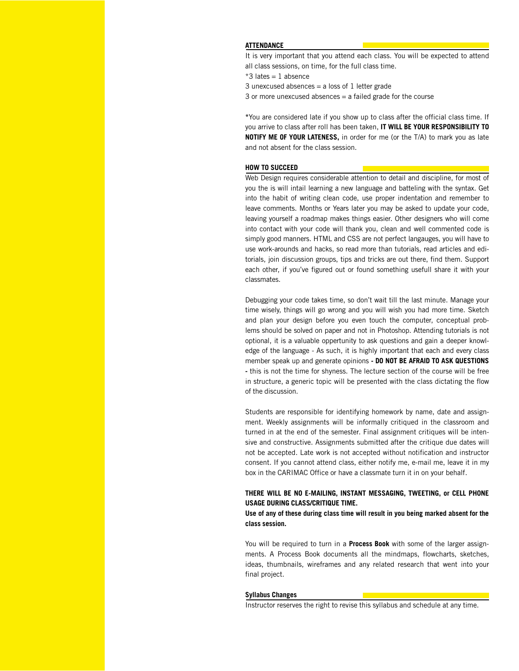# **ATTENDANCE**

It is very important that you attend each class. You will be expected to attend all class sessions, on time, for the full class time.

 $*3$  lates = 1 absence

3 unexcused absences  $=$  a loss of 1 letter grade

3 or more unexcused absences = a failed grade for the course

**\***You are considered late if you show up to class after the official class time. If you arrive to class after roll has been taken, **IT WILL BE YOUR RESPONSIBILITY TO NOTIFY ME OF YOUR LATENESS,** in order for me (or the T/A) to mark you as late and not absent for the class session.

### **HOW TO SUCCEED**

Web Design requires considerable attention to detail and discipline, for most of you the is will intail learning a new language and batteling with the syntax. Get into the habit of writing clean code, use proper indentation and remember to leave comments. Months or Years later you may be asked to update your code, leaving yourself a roadmap makes things easier. Other designers who will come into contact with your code will thank you, clean and well commented code is simply good manners. HTML and CSS are not perfect langauges, you will have to use work-arounds and hacks, so read more than tutorials, read articles and editorials, join discussion groups, tips and tricks are out there, find them. Support each other, if you've figured out or found something usefull share it with your classmates.

Debugging your code takes time, so don't wait till the last minute. Manage your time wisely, things will go wrong and you will wish you had more time. Sketch and plan your design before you even touch the computer, conceptual problems should be solved on paper and not in Photoshop. Attending tutorials is not optional, it is a valuable oppertunity to ask questions and gain a deeper knowledge of the language - As such, it is highly important that each and every class member speak up and generate opinions **- DO NOT BE AFRAID TO ASK QUESTIONS -** this is not the time for shyness. The lecture section of the course will be free in structure, a generic topic will be presented with the class dictating the flow of the discussion.

Students are responsible for identifying homework by name, date and assignment. Weekly assignments will be informally critiqued in the classroom and turned in at the end of the semester. Final assignment critiques will be intensive and constructive. Assignments submitted after the critique due dates will not be accepted. Late work is not accepted without notification and instructor consent. If you cannot attend class, either notify me, e-mail me, leave it in my box in the CARIMAC Office or have a classmate turn it in on your behalf.

# **THERE WILL BE NO E-MAILING, INSTANT MESSAGING, TWEETING, or CELL PHONE USAGE DURING CLASS/CRITIQUE TIME.**

**Use of any of these during class time will result in you being marked absent for the class session.** 

You will be required to turn in a **Process Book** with some of the larger assignments. A Process Book documents all the mindmaps, flowcharts, sketches, ideas, thumbnails, wireframes and any related research that went into your final project.

### **Syllabus Changes**

Instructor reserves the right to revise this syllabus and schedule at any time.